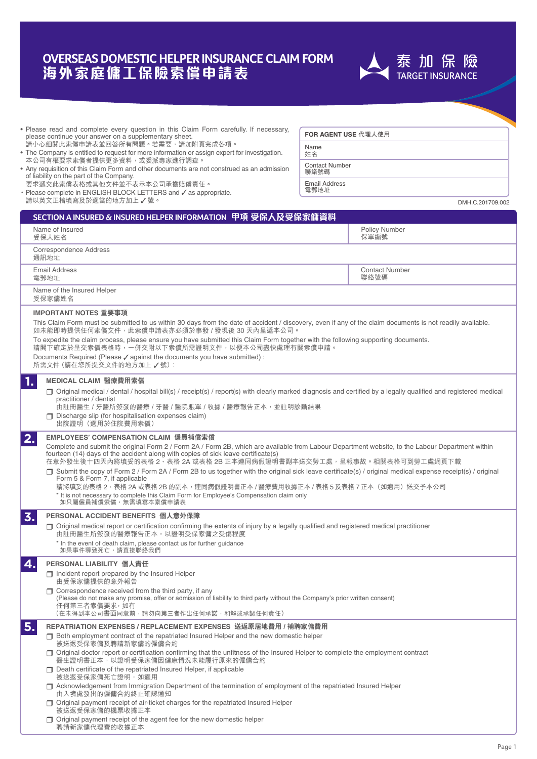# **海外家庭傭工保險索償申請表 OVERSEAS DOMESTIC HELPER INSURANCE CLAIM FORM**

- Please read and complete every question in this Claim Form carefully. If necessary, please continue your answer on a supplementary sheet.
- 請小心細閱此索償申請表並回答所有問題。若需要,請加附頁完成各項。 • The Company is entitled to request for more information or assign expert for investigation.
- 本公司有權要求索償者提供更多資料,或委派專家進行調查。 • Any requisition of this Claim Form and other documents are not construed as an admission of liability on the part of the Company.
- 要求遞交此索償表格或其他文件並不表示本公司承擔賠償責任。
- $\cdot$  Please complete in ENGLISH BLOCK LETTERS and  $\checkmark$  as appropriate. 請以英文正楷填寫及於適當的地方加上√號。

**FOR AGENT USE 代理人使用**

Name 姓名

Contact Number 聯絡號碼

Email Address 電郵地址

DMH.C.201709.002

| SECTION A INSURED & INSURED HELPER INFORMATION 甲項 受保人及受保家傭資料                                                                                                                                                                                                                                                                                                                                                                                                                                                                                                                                                                                                                                            |                               |                                                                                                                                                                      |  |
|---------------------------------------------------------------------------------------------------------------------------------------------------------------------------------------------------------------------------------------------------------------------------------------------------------------------------------------------------------------------------------------------------------------------------------------------------------------------------------------------------------------------------------------------------------------------------------------------------------------------------------------------------------------------------------------------------------|-------------------------------|----------------------------------------------------------------------------------------------------------------------------------------------------------------------|--|
| Name of Insured<br>受保人姓名                                                                                                                                                                                                                                                                                                                                                                                                                                                                                                                                                                                                                                                                                | Policy Number<br>保單編號         |                                                                                                                                                                      |  |
| Correspondence Address<br>通訊地址                                                                                                                                                                                                                                                                                                                                                                                                                                                                                                                                                                                                                                                                          |                               |                                                                                                                                                                      |  |
| <b>Email Address</b><br>電郵地址                                                                                                                                                                                                                                                                                                                                                                                                                                                                                                                                                                                                                                                                            | <b>Contact Number</b><br>聯絡號碼 |                                                                                                                                                                      |  |
| Name of the Insured Helper<br>受保家傭姓名                                                                                                                                                                                                                                                                                                                                                                                                                                                                                                                                                                                                                                                                    |                               |                                                                                                                                                                      |  |
| IMPORTANT NOTES 重要事項                                                                                                                                                                                                                                                                                                                                                                                                                                                                                                                                                                                                                                                                                    |                               |                                                                                                                                                                      |  |
| This Claim Form must be submitted to us within 30 days from the date of accident / discovery, even if any of the claim documents is not readily available.<br>如未能即時提供任何索償文件,此索償申請表亦必須於事發 / 發現後 30 天內呈遞本公司。                                                                                                                                                                                                                                                                                                                                                                                                                                                                                              |                               |                                                                                                                                                                      |  |
| To expedite the claim process, please ensure you have submitted this Claim Form together with the following supporting documents.<br>請閣下確定於呈交索償表格時,一併交附以下索償所需證明文件,以便本公司盡快處理有關索償申請。                                                                                                                                                                                                                                                                                                                                                                                                                                                                                                                      |                               |                                                                                                                                                                      |  |
| Documents Required (Please √ against the documents you have submitted) :<br>所需文件(請在您所提交文件的地方加上√號):                                                                                                                                                                                                                                                                                                                                                                                                                                                                                                                                                                                                      |                               |                                                                                                                                                                      |  |
| 1.<br>MEDICAL CLAIM 醫療費用索償                                                                                                                                                                                                                                                                                                                                                                                                                                                                                                                                                                                                                                                                              |                               |                                                                                                                                                                      |  |
| $\Box$ Original medical / dental / hospital bill(s) / receipt(s) / report(s) with clearly marked diagnosis and certified by a legally qualified and registered medical<br>practitioner / dentist<br>由註冊醫生 / 牙醫所簽發的醫療 / 牙醫 / 醫院賬單 / 收據 / 醫療報告正本,並註明診斷結果                                                                                                                                                                                                                                                                                                                                                                                                                                                  |                               |                                                                                                                                                                      |  |
| □ Discharge slip (for hospitalisation expenses claim)<br>出院證明 (適用於住院費用索償)                                                                                                                                                                                                                                                                                                                                                                                                                                                                                                                                                                                                                               |                               |                                                                                                                                                                      |  |
| 2.<br>Complete and submit the original Form 2/Form 2A/Form 2B, which are available from Labour Department website, to the Labour Department within<br>fourteen (14) days of the accident along with copies of sick leave certificate(s)<br>在意外發生後十四天內將填妥的表格 2、表格 2A 或表格 2B 正本連同病假證明書副本送交勞工處,呈報事故。相關表格可到勞工處網頁下載<br>Submit the copy of Form 2/Form 2A/Form 2B to us together with the original sick leave certificate(s)/original medical expense receipt(s)/original<br>Form 5 & Form 7, if applicable<br>請將填妥的表格 2、表格 2A 或表格 2B 的副本,連同病假證明書正本 / 醫療費用收據正本 / 表格 5 及表格 7 正本(如適用)送交予本公司<br>* It is not necessary to complete this Claim Form for Employee's Compensation claim only<br>如只屬僱員補償索償,無需填寫本索償申請表 |                               |                                                                                                                                                                      |  |
| 3.<br>PERSONAL ACCIDENT BENEFITS 個人意外保障                                                                                                                                                                                                                                                                                                                                                                                                                                                                                                                                                                                                                                                                 |                               |                                                                                                                                                                      |  |
| □ Original medical report or certification confirming the extents of injury by a legally qualified and registered medical practitioner<br>由註冊醫生所簽發的醫療報告正本,以證明受保家傭之受傷程度<br>* In the event of death claim, please contact us for further guidance                                                                                                                                                                                                                                                                                                                                                                                                                                                         |                               |                                                                                                                                                                      |  |
| 如果事件導致死亡,請直接聯絡我們                                                                                                                                                                                                                                                                                                                                                                                                                                                                                                                                                                                                                                                                                        |                               |                                                                                                                                                                      |  |
| 4.<br>PERSONAL LIABILITY 個人責任<br>$\Box$ Incident report prepared by the Insured Helper<br>由受保家傭提供的意外報告                                                                                                                                                                                                                                                                                                                                                                                                                                                                                                                                                                                                  |                               |                                                                                                                                                                      |  |
| $\Box$ Correspondence received from the third party, if any<br>(Please do not make any promise, offer or admission of liability to third party without the Company's prior written consent)<br>任何第三者索償要求,如有<br>(在未得到本公司書面同意前,請勿向第三者作出任何承諾,和解或承認任何責任)                                                                                                                                                                                                                                                                                                                                                                                                                                                    |                               |                                                                                                                                                                      |  |
| 5.<br>REPATRIATION EXPENSES / REPLACEMENT EXPENSES  送返原居地費用 / 補聘家傭費用<br>$\Box$ Both employment contract of the repatriated Insured Helper and the new domestic helper<br>被送返受保家傭及聘請新家傭的僱傭合約                                                                                                                                                                                                                                                                                                                                                                                                                                                                                                             |                               |                                                                                                                                                                      |  |
|                                                                                                                                                                                                                                                                                                                                                                                                                                                                                                                                                                                                                                                                                                         |                               | □ Original doctor report or certification confirming that the unfitness of the Insured Helper to complete the employment contract<br>醫生證明書正本,以證明受保家傭因健康情況未能履行原來的僱傭合約 |  |
| Death certificate of the repatriated Insured Helper, if applicable<br>被送返受保家傭死亡證明,如適用                                                                                                                                                                                                                                                                                                                                                                                                                                                                                                                                                                                                                   |                               |                                                                                                                                                                      |  |
| Acknowledgement from Immigration Department of the termination of employment of the repatriated Insured Helper<br>由入境處發出的僱傭合約終止確認通知                                                                                                                                                                                                                                                                                                                                                                                                                                                                                                                                                                     |                               |                                                                                                                                                                      |  |
| □ Original payment receipt of air-ticket charges for the repatriated Insured Helper<br>被送返受保家傭的機票收據正本                                                                                                                                                                                                                                                                                                                                                                                                                                                                                                                                                                                                   |                               |                                                                                                                                                                      |  |
| □ Original payment receipt of the agent fee for the new domestic helper<br>聘請新家傭代理費的收據正本                                                                                                                                                                                                                                                                                                                                                                                                                                                                                                                                                                                                                |                               |                                                                                                                                                                      |  |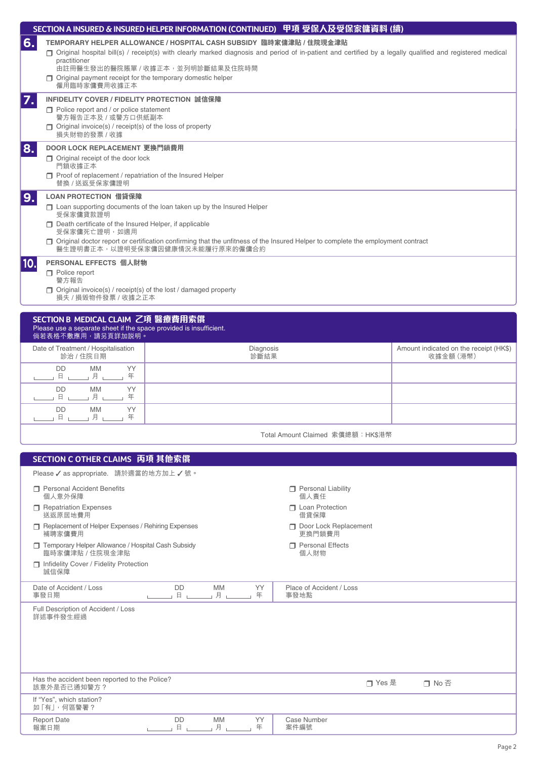|             | SECTION A INSURED & INSURED HELPER INFORMATION (CONTINUED) 甲項 受保人及受保家傭資料 (續)                                                                                                                                                                                                                                                                                               |
|-------------|----------------------------------------------------------------------------------------------------------------------------------------------------------------------------------------------------------------------------------------------------------------------------------------------------------------------------------------------------------------------------|
| 6.          | TEMPORARY HELPER ALLOWANCE / HOSPITAL CASH SUBSIDY 臨時家傭津貼 / 住院現金津貼<br>□ Original hospital bill(s) / receipt(s) with clearly marked diagnosis and period of in-patient and certified by a legally qualified and registered medical<br>practitioner<br>由註冊醫生發出的醫院賬單 / 收據正本,並列明診斷結果及住院時間<br>$\Box$ Original payment receipt for the temporary domestic helper<br>僱用臨時家傭費用收據正本 |
| $Z_{\star}$ | INFIDELITY COVER / FIDELITY PROTECTION 誠信保障<br>$\Box$ Police report and / or police statement<br>警方報告正本及 / 或警方口供紙副本<br>$\Box$ Original invoice(s) / receipt(s) of the loss of property<br>損失財物的發票 / 收據                                                                                                                                                                     |
| 8.          | DOOR LOCK REPLACEMENT 更換門鎖費用<br>$\Box$ Original receipt of the door lock<br>門鎖收據正本<br>Proof of replacement / repatriation of the Insured Helper<br>替換 / 送返受保家傭證明                                                                                                                                                                                                           |
| 9.          | LOAN PROTECTION 借貸保障<br>$\Box$ Loan supporting documents of the loan taken up by the Insured Helper<br>受保家傭貸款證明<br>$\Box$ Death certificate of the Insured Helper, if applicable<br>受保家傭死亡證明, 如適用<br>□ Original doctor report or certification confirming that the unfitness of the Insured Helper to complete the employment contract<br>醫生證明書正本,以證明受保家傭因健康情況未能履行原來的僱傭合約  |
| 10.         | PERSONAL EFFECTS 個人財物<br>$\Box$ Police report<br>警方報告<br>$\Box$ Original invoice(s) / receipt(s) of the lost / damaged property<br>損失 / 損毀物件發票 / 收據之正本                                                                                                                                                                                                                     |
|             | SECTION B MEDICAL CLAIM 乙項 醫療費用索償<br>Please use a separate sheet if the space provided is insufficient.<br>倘若表格不敷應用,請另頁詳加説明。                                                                                                                                                                                                                                               |

|                                                  | $\mathbb{R}^n$ is in the contract of $\mathbb{R}^n$ is the contract of $\mathbb{R}^n$ is the contract of $\mathbb{R}^n$ |                   |                                                     |
|--------------------------------------------------|-------------------------------------------------------------------------------------------------------------------------|-------------------|-----------------------------------------------------|
| Date of Treatment / Hospitalisation<br>診治 / 住院日期 |                                                                                                                         | Diagnosis<br>診斷結果 | Amount indicated on the receipt (HK\$)<br>收據金額 (港幣) |
|                                                  | YY<br><b>MM</b><br><b>DD</b><br>年<br>ᄇ                                                                                  |                   |                                                     |
|                                                  | YY<br>DD<br><b>MM</b><br>玍<br>ᄇ                                                                                         |                   |                                                     |
|                                                  | YY<br><b>DD</b><br><b>MM</b><br>玍                                                                                       |                   |                                                     |
|                                                  |                                                                                                                         |                   |                                                     |

| Total Amount Claimed 索償總額: HK\$港幣 |  |  |  |
|-----------------------------------|--|--|--|
|-----------------------------------|--|--|--|

| Please √ as appropriate. 請於適當的地方加上 √號。                                                                                                           |  |
|--------------------------------------------------------------------------------------------------------------------------------------------------|--|
| <b>T</b> Personal Accident Benefits<br>Personal Liability<br>個人意外保障<br>個人責任                                                                      |  |
| <b>T</b> Loan Protection<br>Repatriation Expenses<br>送返原居地費用<br>借貸保障                                                                             |  |
| Door Lock Replacement<br>Replacement of Helper Expenses / Rehiring Expenses<br>更換門鎖費用<br>補聘家傭費用                                                  |  |
| Temporary Helper Allowance / Hospital Cash Subsidy<br><b>T</b> Personal Effects<br>臨時家傭津貼 / 住院現金津貼<br>個人財物                                       |  |
| Infidelity Cover / Fidelity Protection<br>誠信保障                                                                                                   |  |
| <b>MM</b><br><b>YY</b><br><b>DD</b><br>Date of Accident / Loss<br>Place of Accident / Loss<br>$\hbox{H}$ $\hbox{L}$<br>」月 」<br>年<br>事發日期<br>事發地點 |  |
| Full Description of Accident / Loss<br>詳述事件發生經過                                                                                                  |  |
| Has the accident been reported to the Police?<br>□ Yes 是<br>□ No 否<br>該意外是否已通知警方?                                                                |  |
| If "Yes", which station?<br>如「有」,何區警署?                                                                                                           |  |
| <b>MM</b><br><b>Report Date</b><br><b>DD</b><br>YY<br>Case Number<br>月<br>報案日期<br>日<br>年<br>案件編號                                                 |  |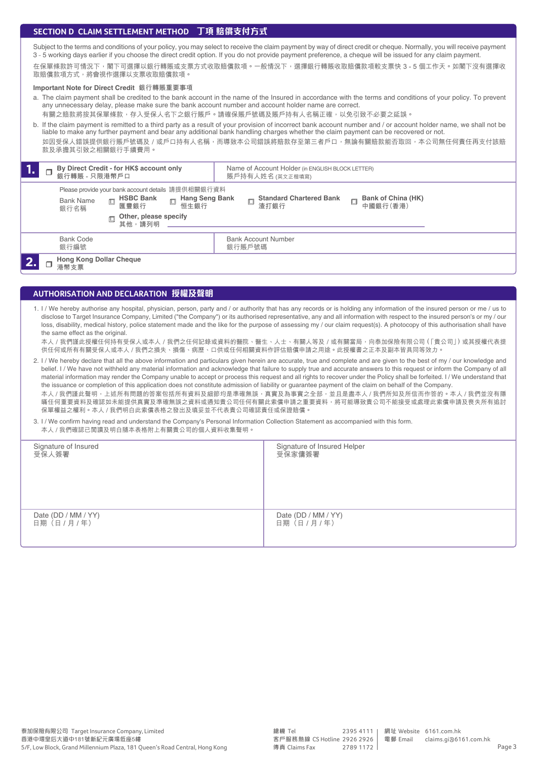# **SECTION D CLAIM SETTLEMENT METHOD 丁項 賠償支付方式**

Subject to the terms and conditions of your policy, you may select to receive the claim payment by way of direct credit or cheque. Normally, you will receive payment 3 - 5 working days earlier if you choose the direct credit option. If you do not provide payment preference, a cheque will be issued for any claim payment.

在保單條款許可情況下,閣下可選擇以銀行轉賬或支票方式收取賠償款項。一般情況下,選擇銀行轉賬收取賠償款項較支票快 3 - 5 個工作天。如閣下沒有選擇收 取賠償款項方式,將會視作選擇以支票收取賠償款項。

# **Important Note for Direct Credit 銀行轉賬重要事項**

a. The claim payment shall be credited to the bank account in the name of the Insured in accordance with the terms and conditions of your policy. To prevent any unnecessary delay, please make sure the bank account number and account holder name are correct. 有關之賠款將按其保單條款,存入受保人名下之銀行賬戶。請確保賬戶號碼及賬戶持有人名稱正確,以免引致不必要之延誤。

b. If the claim payment is remitted to a third party as a result of your provision of incorrect bank account number and / or account holder name, we shall not be liable to make any further payment and bear any additional bank handling charges whether the claim payment can be recovered or not. 如因受保人錯誤提供銀行賬戶號碼及/或戶口持有人名稱,而導致本公司錯誤將賠款存至第三者戶口,無論有關賠款能否取回,本公司無任何責任再支付該賠 款及承擔其引致之相關銀行手續費用。

| By Direct Credit - for HK\$ account only<br>л.<br>銀行轉賬 - 只限港幣戶口 |                                        |                                                                                                                                                       | Name of Account Holder (in ENGLISH BLOCK LETTER)<br>賬戶持有人姓名 (英文正楷填寫) |                                |
|-----------------------------------------------------------------|----------------------------------------|-------------------------------------------------------------------------------------------------------------------------------------------------------|----------------------------------------------------------------------|--------------------------------|
|                                                                 | <b>Bank Name</b><br>銀行名稱               | Please provide your bank account details 請提供相關銀行資料<br>Hang Seng Bank<br><b>HSBC Bank</b><br>$\Box$<br>恒生銀行<br>匯豐銀行<br>Other, please specify<br>其他,請列明 | <b>Standard Chartered Bank</b><br>$\Box$<br>渣打銀行                     | Bank of China (HK)<br>中國銀行(香港) |
|                                                                 | <b>Bank Code</b><br>銀行編號               |                                                                                                                                                       | <b>Bank Account Number</b><br>銀行賬戶號碼                                 |                                |
|                                                                 | <b>Hong Kong Dollar Cheque</b><br>港幣支票 |                                                                                                                                                       |                                                                      |                                |

# **AUTHORISATION AND DECLARATION 授權及聲明**

1. I / We hereby authorise any hospital, physician, person, party and / or authority that has any records or is holding any information of the insured person or me / us to disclose to Target Insurance Company, Limited ("the Company") or its authorised representative, any and all information with respect to the insured person's or my / our loss, disability, medical history, police statement made and the like for the purpose of assessing my / our claim request(s). A photocopy of this authorisation shall have the same effect as the original.

本人 / 我們謹此授權任何持有受保人或本人 / 我們之任何記錄或資料的醫院、醫生、人士、有關人等及 / 或有關當局,向泰加保險有限公司 ( 「貴公司」 ) 或其授權代表提 供任何或所有有關受保人或本人 / 我們之損失、損傷、病歷、口供或任何相關資料作評估賠償申請之用途。此授權書之正本及副本皆具同等效力。

2. I / We hereby declare that all the above information and particulars given herein are accurate, true and complete and are given to the best of my / our knowledge and belief. I / We have not withheld any material information and acknowledge that failure to supply true and accurate answers to this request or inform the Company of all material information may render the Company unable to accept or process this request and all rights to recover under the Policy shall be forfeited. I / We understand that the issuance or completion of this application does not constitute admission of liability or guarantee payment of the claim on behalf of the Company.

本人 / 我們謹此聲明, 上述所有問題的答案包括所有資料及細節均是準確無誤, 真實及為事實之全部, 並且是盡本人 / 我們所知及所信而作答的。本人 / 我們並沒有隱 瞞任何重要資料及確認如未能提供真實及準確無誤之資料或通知貴公司任何有關此索償申請之重要資料,將可能導致貴公司不能接受或處理此索償申請及喪失所有追討 保單權益之權利。本人 / 我們明白此索償表格之發出及填妥並不代表貴公司確認責任或保證賠償。

3. I / We confirm having read and understand the Company's Personal Information Collection Statement as accompanied with this form. 本人 / 我們確認已閲讀及明白隨本表格附上有關貴公司的個人資料收集聲明

| Signature of Insured<br>受保人簽署         | Signature of Insured Helper<br>受保家傭簽署 |
|---------------------------------------|---------------------------------------|
| Date (DD / MM / YY)<br>日期 (日 / 月 / 年) | Date (DD / MM / YY)<br>日期 (日 / 月 / 年) |